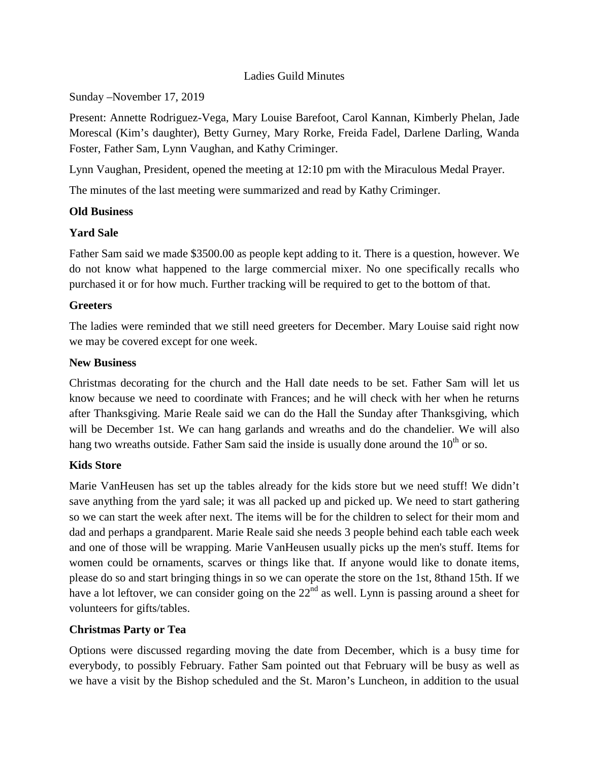#### Ladies Guild Minutes

Sunday –November 17, 2019

Present: Annette Rodriguez-Vega, Mary Louise Barefoot, Carol Kannan, Kimberly Phelan, Jade Morescal (Kim's daughter), Betty Gurney, Mary Rorke, Freida Fadel, Darlene Darling, Wanda Foster, Father Sam, Lynn Vaughan, and Kathy Criminger.

Lynn Vaughan, President, opened the meeting at 12:10 pm with the Miraculous Medal Prayer.

The minutes of the last meeting were summarized and read by Kathy Criminger.

### **Old Business**

### **Yard Sale**

Father Sam said we made \$3500.00 as people kept adding to it. There is a question, however. We do not know what happened to the large commercial mixer. No one specifically recalls who purchased it or for how much. Further tracking will be required to get to the bottom of that.

#### **Greeters**

The ladies were reminded that we still need greeters for December. Mary Louise said right now we may be covered except for one week.

#### **New Business**

Christmas decorating for the church and the Hall date needs to be set. Father Sam will let us know because we need to coordinate with Frances; and he will check with her when he returns after Thanksgiving. Marie Reale said we can do the Hall the Sunday after Thanksgiving, which will be December 1st. We can hang garlands and wreaths and do the chandelier. We will also hang two wreaths outside. Father Sam said the inside is usually done around the  $10<sup>th</sup>$  or so.

### **Kids Store**

Marie VanHeusen has set up the tables already for the kids store but we need stuff! We didn't save anything from the yard sale; it was all packed up and picked up. We need to start gathering so we can start the week after next. The items will be for the children to select for their mom and dad and perhaps a grandparent. Marie Reale said she needs 3 people behind each table each week and one of those will be wrapping. Marie VanHeusen usually picks up the men's stuff. Items for women could be ornaments, scarves or things like that. If anyone would like to donate items, please do so and start bringing things in so we can operate the store on the 1st, 8thand 15th. If we have a lot leftover, we can consider going on the 22<sup>nd</sup> as well. Lynn is passing around a sheet for volunteers for gifts/tables.

### **Christmas Party or Tea**

Options were discussed regarding moving the date from December, which is a busy time for everybody, to possibly February. Father Sam pointed out that February will be busy as well as we have a visit by the Bishop scheduled and the St. Maron's Luncheon, in addition to the usual